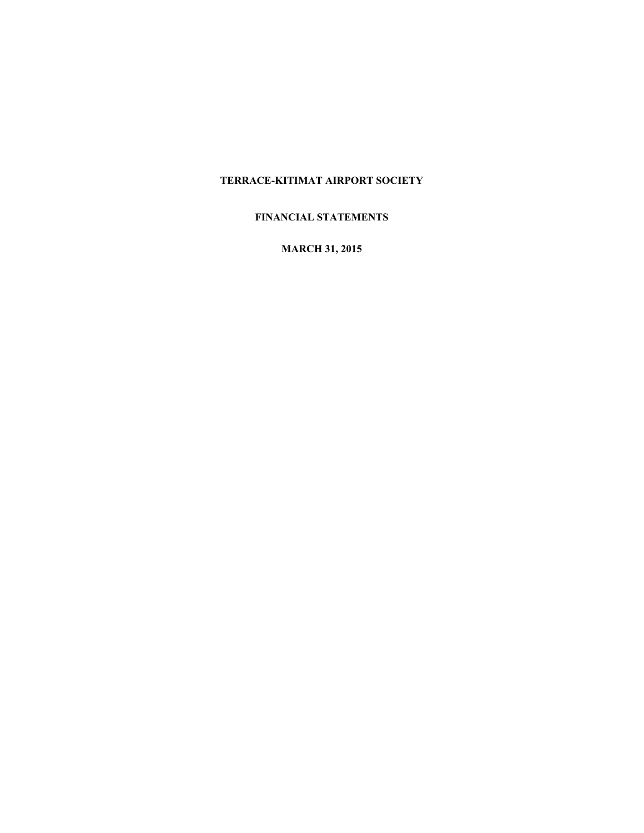## **FINANCIAL STATEMENTS**

**MARCH 31, 2015**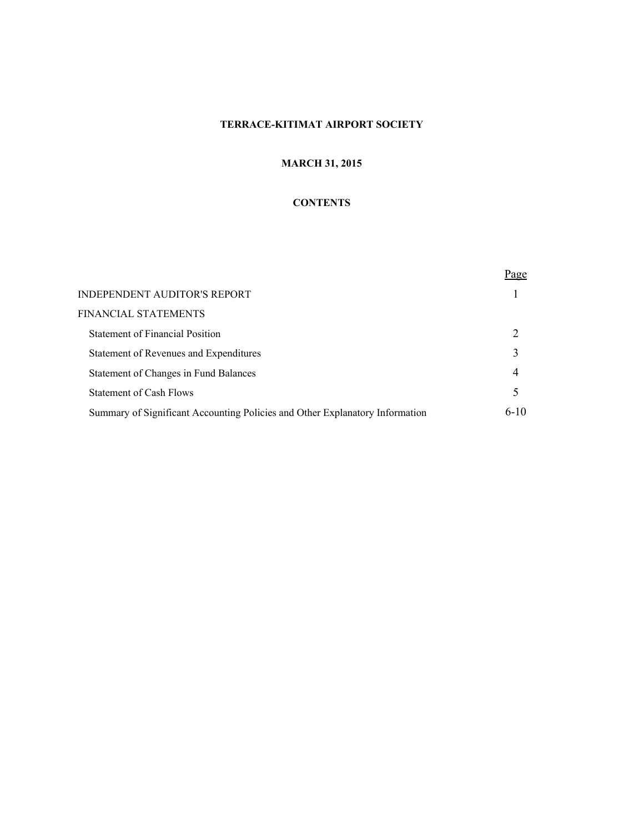# **MARCH 31, 2015**

# **CONTENTS**

|                                                                              | <u>Page</u>    |
|------------------------------------------------------------------------------|----------------|
| <b>INDEPENDENT AUDITOR'S REPORT</b>                                          |                |
| FINANCIAL STATEMENTS                                                         |                |
| <b>Statement of Financial Position</b>                                       |                |
| Statement of Revenues and Expenditures                                       | 3              |
| Statement of Changes in Fund Balances                                        | $\overline{4}$ |
| Statement of Cash Flows                                                      |                |
| Summary of Significant Accounting Policies and Other Explanatory Information | $6 - 10$       |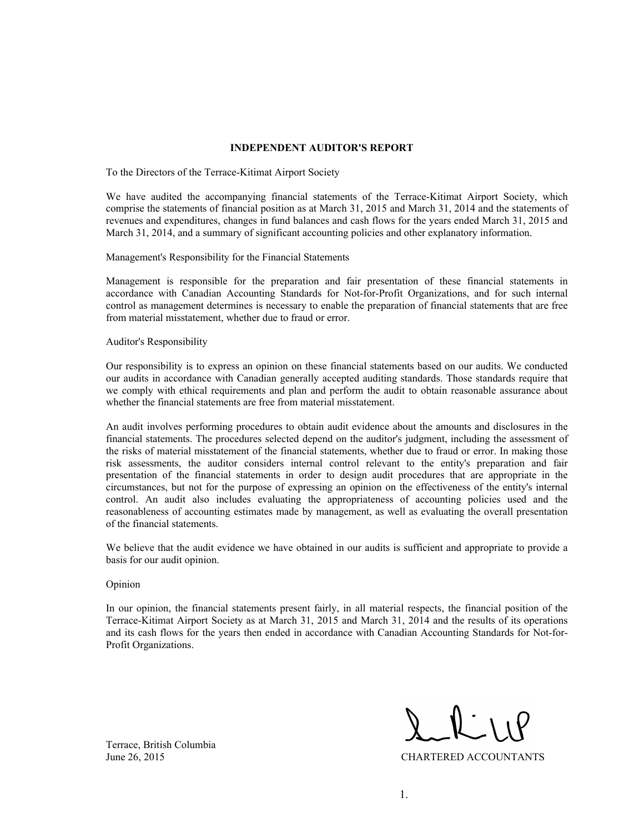#### **INDEPENDENT AUDITOR'S REPORT**

To the Directors of the Terrace-Kitimat Airport Society

We have audited the accompanying financial statements of the Terrace-Kitimat Airport Society, which comprise the statements of financial position as at March 31, 2015 and March 31, 2014 and the statements of revenues and expenditures, changes in fund balances and cash flows for the years ended March 31, 2015 and March 31, 2014, and a summary of significant accounting policies and other explanatory information.

Management's Responsibility for the Financial Statements

Management is responsible for the preparation and fair presentation of these financial statements in accordance with Canadian Accounting Standards for Not-for-Profit Organizations, and for such internal control as management determines is necessary to enable the preparation of financial statements that are free from material misstatement, whether due to fraud or error.

Auditor's Responsibility

Our responsibility is to express an opinion on these financial statements based on our audits. We conducted our audits in accordance with Canadian generally accepted auditing standards. Those standards require that we comply with ethical requirements and plan and perform the audit to obtain reasonable assurance about whether the financial statements are free from material misstatement.

An audit involves performing procedures to obtain audit evidence about the amounts and disclosures in the financial statements. The procedures selected depend on the auditor's judgment, including the assessment of the risks of material misstatement of the financial statements, whether due to fraud or error. In making those risk assessments, the auditor considers internal control relevant to the entity's preparation and fair presentation of the financial statements in order to design audit procedures that are appropriate in the circumstances, but not for the purpose of expressing an opinion on the effectiveness of the entity's internal control. An audit also includes evaluating the appropriateness of accounting policies used and the reasonableness of accounting estimates made by management, as well as evaluating the overall presentation of the financial statements.

We believe that the audit evidence we have obtained in our audits is sufficient and appropriate to provide a basis for our audit opinion.

Opinion

In our opinion, the financial statements present fairly, in all material respects, the financial position of the Terrace-Kitimat Airport Society as at March 31, 2015 and March 31, 2014 and the results of its operations and its cash flows for the years then ended in accordance with Canadian Accounting Standards for Not-for-Profit Organizations.

Terrace, British Columbia

June 26, 2015 CHARTERED ACCOUNTANTS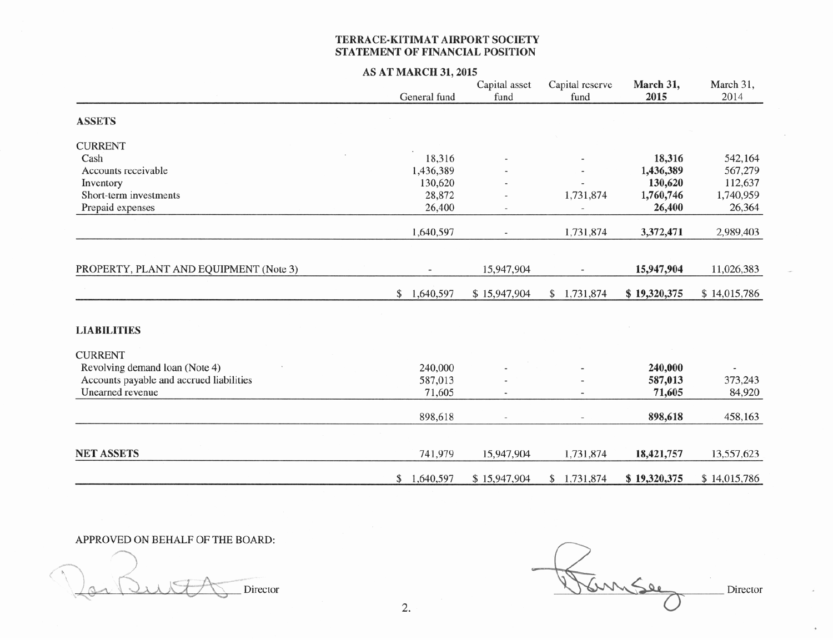## **TERRACE-KITIMAT AIRPORT SOCIETY STATEMENT OF FINANCIAL POSITION**

## **AS AT MARCH 31, 2015**

|                                          | General fund    | Capital asset<br>fund    | Capital reserve<br>fund  | March 31,<br>2015 | March 31,<br>2014 |
|------------------------------------------|-----------------|--------------------------|--------------------------|-------------------|-------------------|
|                                          |                 |                          |                          |                   |                   |
| <b>ASSETS</b>                            |                 |                          |                          |                   |                   |
| <b>CURRENT</b>                           |                 |                          |                          |                   |                   |
| Cash                                     | 18,316          |                          |                          | 18,316            | 542,164           |
| Accounts receivable                      | 1,436,389       |                          |                          | 1,436,389         | 567,279           |
| Inventory                                | 130,620         |                          |                          | 130,620           | 112,637           |
| Short-term investments                   | 28,872          |                          | 1,731,874                | 1,760,746         | 1,740,959         |
| Prepaid expenses                         | 26,400          |                          |                          | 26,400            | 26,364            |
|                                          | 1,640,597       | $\overline{\phantom{a}}$ | 1,731,874                | 3,372,471         | 2,989,403         |
|                                          |                 |                          |                          |                   |                   |
| PROPERTY, PLANT AND EQUIPMENT (Note 3)   |                 | 15,947,904               |                          | 15,947,904        | 11,026,383        |
|                                          | 1,640,597<br>S. | \$15,947,904             | \$1,731,874              | \$19,320,375      | \$14,015,786      |
| <b>LIABILITIES</b>                       |                 |                          |                          |                   |                   |
| <b>CURRENT</b>                           |                 |                          |                          |                   |                   |
| Revolving demand loan (Note 4)           | 240,000         |                          |                          | 240,000           |                   |
| Accounts payable and accrued liabilities | 587,013         |                          |                          | 587,013           | 373,243           |
| Unearned revenue                         | 71,605          |                          |                          | 71,605            | 84,920            |
|                                          | 898,618         | $\overline{\phantom{a}}$ | $\overline{\phantom{a}}$ | 898,618           | 458,163           |
|                                          |                 |                          |                          |                   |                   |
| <b>NET ASSETS</b>                        | 741,979         | 15,947,904               | 1,731,874                | 18,421,757        | 13,557,623        |
|                                          | 1,640,597<br>\$ | \$15,947,904             | 1,731,874<br>\$          | \$19,320,375      | \$14,015,786      |

## APPROVED ON BEHALF OF THE BOARD:

Director

Vermsee Director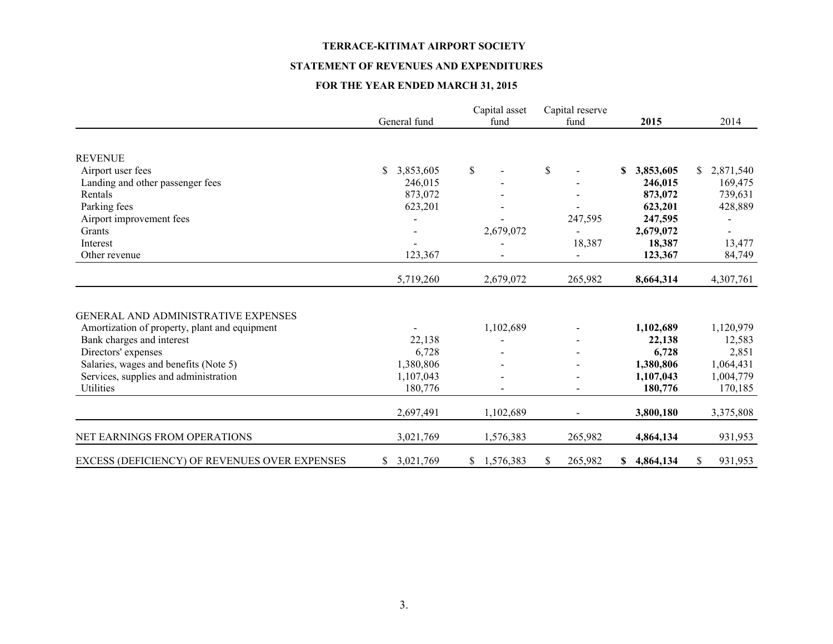## **STATEMENT OF REVENUES AND EXPENDITURES**

## **FOR THE YEAR ENDED MARCH 31, 2015**

|                                               | Capital asset   |             | Capital reserve |             |               |
|-----------------------------------------------|-----------------|-------------|-----------------|-------------|---------------|
|                                               | General fund    | fund        | fund            | 2015        | 2014          |
|                                               |                 |             |                 |             |               |
| <b>REVENUE</b>                                |                 |             |                 |             |               |
| Airport user fees                             | \$<br>3,853,605 | $\$$        | \$              | 3,853,605   | \$2,871,540   |
| Landing and other passenger fees              | 246,015         |             |                 | 246,015     | 169,475       |
| Rentals                                       | 873,072         |             |                 | 873,072     | 739,631       |
| Parking fees                                  | 623,201         |             |                 | 623,201     | 428,889       |
| Airport improvement fees                      |                 |             | 247,595         | 247,595     |               |
| Grants                                        |                 | 2,679,072   |                 | 2,679,072   |               |
| Interest                                      |                 |             | 18,387          | 18,387      | 13,477        |
| Other revenue                                 | 123,367         |             |                 | 123,367     | 84,749        |
|                                               | 5,719,260       | 2,679,072   | 265,982         | 8,664,314   | 4,307,761     |
| <b>GENERAL AND ADMINISTRATIVE EXPENSES</b>    |                 |             |                 |             |               |
| Amortization of property, plant and equipment |                 | 1,102,689   |                 | 1,102,689   | 1,120,979     |
| Bank charges and interest                     | 22,138          |             |                 | 22,138      | 12,583        |
| Directors' expenses                           | 6,728           |             |                 | 6,728       | 2,851         |
| Salaries, wages and benefits (Note 5)         | 1,380,806       |             |                 | 1,380,806   | 1,064,431     |
| Services, supplies and administration         | 1,107,043       |             |                 | 1,107,043   | 1,004,779     |
| <b>Utilities</b>                              | 180,776         |             |                 | 180,776     | 170,185       |
|                                               | 2,697,491       | 1,102,689   |                 | 3,800,180   | 3,375,808     |
| NET EARNINGS FROM OPERATIONS                  | 3,021,769       | 1,576,383   | 265,982         | 4,864,134   | 931,953       |
| EXCESS (DEFICIENCY) OF REVENUES OVER EXPENSES | \$3,021,769     | \$1,576,383 | \$<br>265,982   | \$4,864,134 | \$<br>931,953 |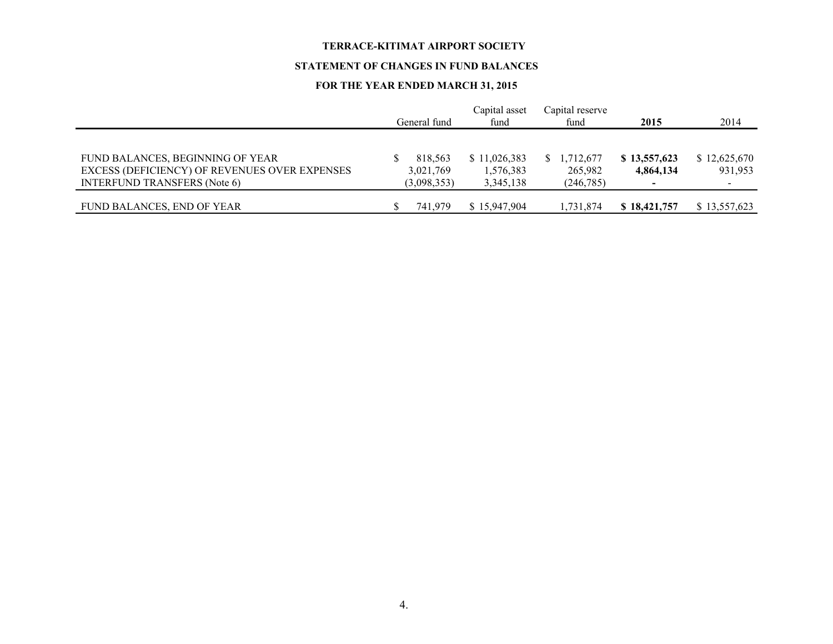## **STATEMENT OF CHANGES IN FUND BALANCES**

## **FOR THE YEAR ENDED MARCH 31, 2015**

|                                               | General fund | Capital asset<br>fund | Capital reserve<br>fund | 2015                     | 2014         |
|-----------------------------------------------|--------------|-----------------------|-------------------------|--------------------------|--------------|
|                                               |              |                       |                         |                          |              |
| FUND BALANCES, BEGINNING OF YEAR              | 818,563      | \$11,026,383          | \$1,712,677             | \$13,557,623             | \$12,625,670 |
| EXCESS (DEFICIENCY) OF REVENUES OVER EXPENSES | 3,021,769    | 1,576,383             | 265,982                 | 4,864,134                | 931,953      |
| <b>INTERFUND TRANSFERS (Note 6)</b>           | (3,098,353)  | 3,345,138             | (246, 785)              | $\overline{\phantom{0}}$ |              |
|                                               |              |                       |                         |                          |              |
| FUND BALANCES, END OF YEAR                    | 741.979      | \$15,947,904          | 1,731,874               | \$18,421,757             | \$13,557,623 |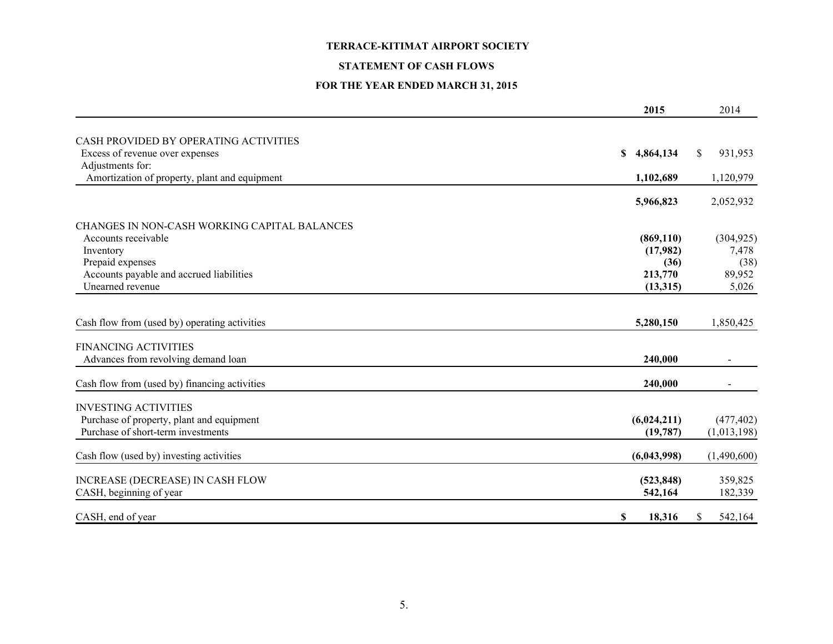## **STATEMENT OF CASH FLOWS**

## **FOR THE YEAR ENDED MARCH 31, 2015**

|                                               | 2015            | 2014                     |
|-----------------------------------------------|-----------------|--------------------------|
|                                               |                 |                          |
| CASH PROVIDED BY OPERATING ACTIVITIES         |                 |                          |
| Excess of revenue over expenses               | 4,864,134<br>\$ | 931,953<br><sup>\$</sup> |
| Adjustments for:                              |                 |                          |
| Amortization of property, plant and equipment | 1,102,689       | 1,120,979                |
|                                               | 5,966,823       | 2,052,932                |
| CHANGES IN NON-CASH WORKING CAPITAL BALANCES  |                 |                          |
| Accounts receivable                           | (869, 110)      | (304, 925)               |
| Inventory                                     | (17,982)        | 7,478                    |
| Prepaid expenses                              | (36)            | (38)                     |
| Accounts payable and accrued liabilities      | 213,770         | 89,952                   |
| Unearned revenue                              | (13,315)        | 5,026                    |
|                                               |                 |                          |
| Cash flow from (used by) operating activities | 5,280,150       | 1,850,425                |
| <b>FINANCING ACTIVITIES</b>                   |                 |                          |
| Advances from revolving demand loan           | 240,000         |                          |
| Cash flow from (used by) financing activities | 240,000         |                          |
| <b>INVESTING ACTIVITIES</b>                   |                 |                          |
| Purchase of property, plant and equipment     | (6,024,211)     | (477, 402)               |
| Purchase of short-term investments            | (19, 787)       | (1,013,198)              |
| Cash flow (used by) investing activities      | (6,043,998)     | (1,490,600)              |
| INCREASE (DECREASE) IN CASH FLOW              | (523, 848)      | 359,825                  |
| CASH, beginning of year                       | 542,164         | 182,339                  |
| CASH, end of year                             | 18,316<br>\$    | 542,164<br>S.            |
|                                               |                 |                          |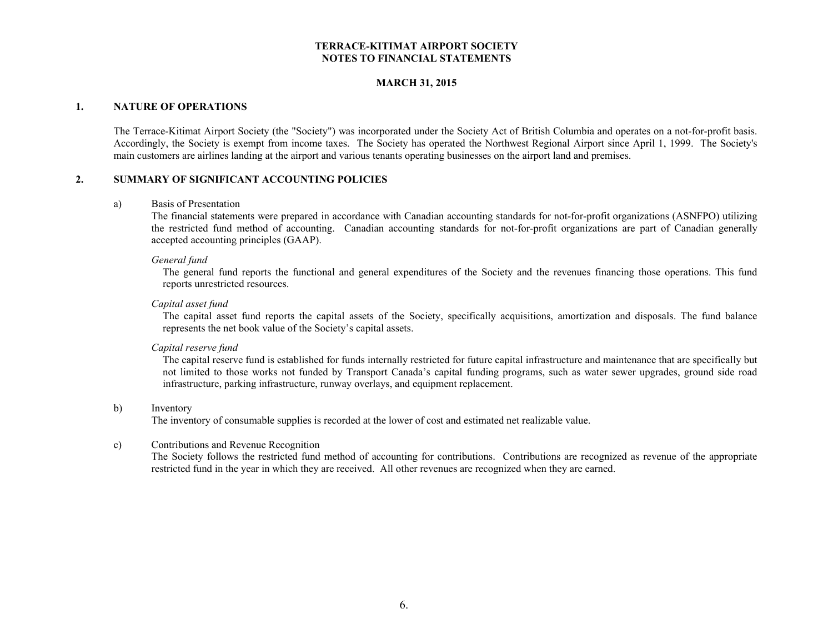#### **MARCH 31, 2015**

### **1. NATURE OF OPERATIONS**

The Terrace-Kitimat Airport Society (the "Society") was incorporated under the Society Act of British Columbia and operates on a not-for-profit basis. Accordingly, the Society is exempt from income taxes. The Society has operated the Northwest Regional Airport since April 1, 1999. The Society's main customers are airlines landing at the airport and various tenants operating businesses on the airport land and premises.

### **2. SUMMARY OF SIGNIFICANT ACCOUNTING POLICIES**

#### a) Basis of Presentation

The financial statements were prepared in accordance with Canadian accounting standards for not-for-profit organizations (ASNFPO) utilizing the restricted fund method of accounting. Canadian accounting standards for not-for-profit organizations are part of Canadian generally accepted accounting principles (GAAP).

*General fund*

The general fund reports the functional and general expenditures of the Society and the revenues financing those operations. This fund reports unrestricted resources.

### *Capital asset fund*

The capital asset fund reports the capital assets of the Society, specifically acquisitions, amortization and disposals. The fund balance represents the net book value of the Society's capital assets.

## *Capital reserve fund*

The capital reserve fund is established for funds internally restricted for future capital infrastructure and maintenance that are specifically but not limited to those works not funded by Transport Canada's capital funding programs, such as water sewer upgrades, ground side road infrastructure, parking infrastructure, runway overlays, and equipment replacement.

#### b) Inventory

The inventory of consumable supplies is recorded at the lower of cost and estimated net realizable value.

#### c) Contributions and Revenue Recognition

The Society follows the restricted fund method of accounting for contributions. Contributions are recognized as revenue of the appropriate restricted fund in the year in which they are received. All other revenues are recognized when they are earned.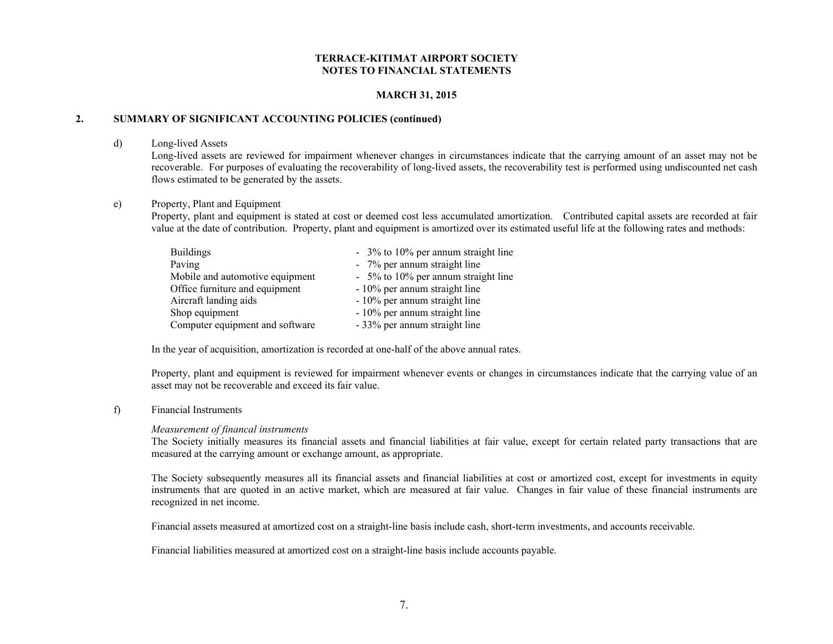## **MARCH 31, 2015**

### **2. SUMMARY OF SIGNIFICANT ACCOUNTING POLICIES (continued)**

d) Long-lived Assets

Long-lived assets are reviewed for impairment whenever changes in circumstances indicate that the carrying amount of an asset may not be recoverable. For purposes of evaluating the recoverability of long-lived assets, the recoverability test is performed using undiscounted net cash flows estimated to be generated by the assets.

#### e) Property, Plant and Equipment

Property, plant and equipment is stated at cost or deemed cost less accumulated amortization. Contributed capital assets are recorded at fair value at the date of contribution. Property, plant and equipment is amortized over its estimated useful life at the following rates and methods:

| <b>Buildings</b>                | - 3% to 10% per annum straight line |
|---------------------------------|-------------------------------------|
| Paving                          | - 7% per annum straight line        |
| Mobile and automotive equipment | - 5% to 10% per annum straight line |
| Office furniture and equipment  | - 10% per annum straight line       |
| Aircraft landing aids           | - 10% per annum straight line       |
| Shop equipment                  | - 10% per annum straight line       |
| Computer equipment and software | - 33% per annum straight line       |

In the year of acquisition, amortization is recorded at one-half of the above annual rates.

Property, plant and equipment is reviewed for impairment whenever events or changes in circumstances indicate that the carrying value of an asset may not be recoverable and exceed its fair value.

#### f) Financial Instruments

#### *Measurement of financal instruments*

The Society initially measures its financial assets and financial liabilities at fair value, except for certain related party transactions that are measured at the carrying amount or exchange amount, as appropriate.

The Society subsequently measures all its financial assets and financial liabilities at cost or amortized cost, except for investments in equity instruments that are quoted in an active market, which are measured at fair value. Changes in fair value of these financial instruments are recognized in net income.

Financial assets measured at amortized cost on a straight-line basis include cash, short-term investments, and accounts receivable.

Financial liabilities measured at amortized cost on a straight-line basis include accounts payable.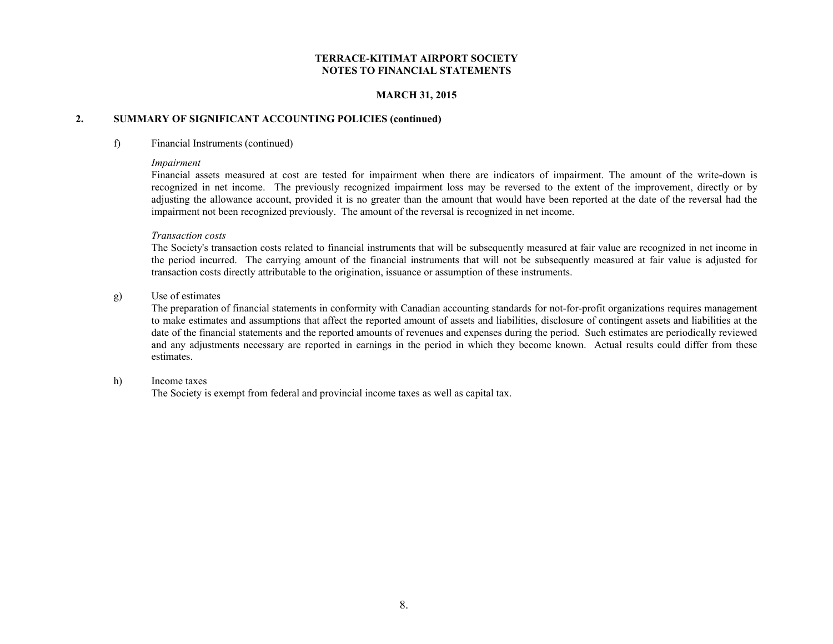## **MARCH 31, 2015**

### **2. SUMMARY OF SIGNIFICANT ACCOUNTING POLICIES (continued)**

#### f) Financial Instruments (continued)

#### *Impairment*

Financial assets measured at cost are tested for impairment when there are indicators of impairment. The amount of the write-down is recognized in net income. The previously recognized impairment loss may be reversed to the extent of the improvement, directly or by adjusting the allowance account, provided it is no greater than the amount that would have been reported at the date of the reversal had the impairment not been recognized previously. The amount of the reversal is recognized in net income.

#### *Transaction costs*

The Society's transaction costs related to financial instruments that will be subsequently measured at fair value are recognized in net income in the period incurred. The carrying amount of the financial instruments that will not be subsequently measured at fair value is adjusted for transaction costs directly attributable to the origination, issuance or assumption of these instruments.

#### g) Use of estimates

The preparation of financial statements in conformity with Canadian accounting standards for not-for-profit organizations requires management to make estimates and assumptions that affect the reported amount of assets and liabilities, disclosure of contingent assets and liabilities at the date of the financial statements and the reported amounts of revenues and expenses during the period. Such estimates are periodically reviewed and any adjustments necessary are reported in earnings in the period in which they become known. Actual results could differ from these estimates.

#### h) Income taxes

The Society is exempt from federal and provincial income taxes as well as capital tax.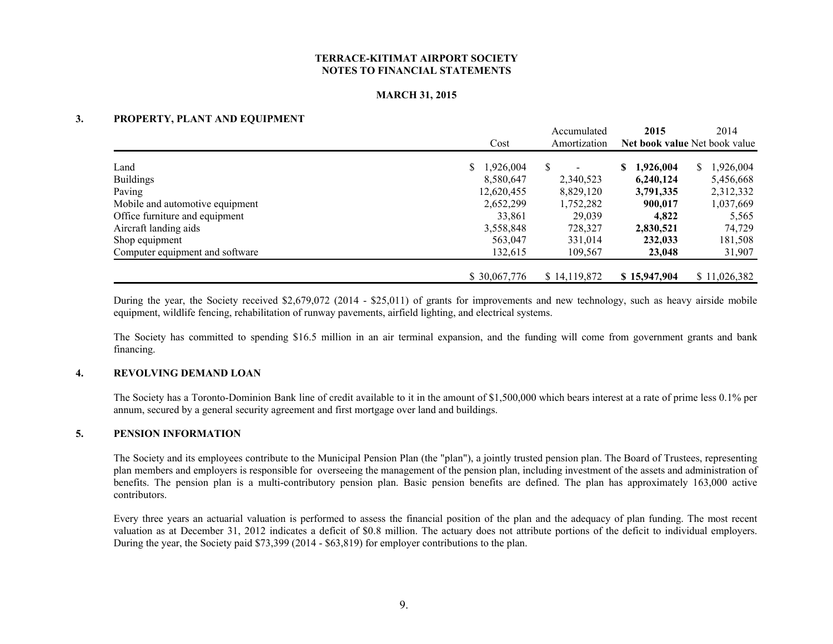### **MARCH 31, 2015**

## **3. PROPERTY, PLANT AND EQUIPMENT**

|                                 | Cost         | Accumulated  | 2015            | 2014                                 |
|---------------------------------|--------------|--------------|-----------------|--------------------------------------|
|                                 |              | Amortization |                 | <b>Net book value</b> Net book value |
| Land                            | \$1,926,004  | -S           | 1,926,004<br>\$ | 1,926,004<br>S.                      |
| <b>Buildings</b>                | 8,580,647    | 2,340,523    | 6,240,124       | 5,456,668                            |
| Paving                          | 12,620,455   | 8,829,120    | 3,791,335       | 2,312,332                            |
| Mobile and automotive equipment | 2,652,299    | 1,752,282    | 900,017         | 1,037,669                            |
| Office furniture and equipment  | 33,861       | 29,039       | 4.822           | 5,565                                |
| Aircraft landing aids           | 3,558,848    | 728,327      | 2,830,521       | 74,729                               |
| Shop equipment                  | 563,047      | 331,014      | 232,033         | 181,508                              |
| Computer equipment and software | 132,615      | 109,567      | 23,048          | 31,907                               |
|                                 | \$30,067,776 | \$14,119,872 | \$15,947,904    | \$11,026,382                         |

During the year, the Society received \$2,679,072 (2014 - \$25,011) of grants for improvements and new technology, such as heavy airside mobile equipment, wildlife fencing, rehabilitation of runway pavements, airfield lighting, and electrical systems.

The Society has committed to spending \$16.5 million in an air terminal expansion, and the funding will come from government grants and bank financing.

## **4. REVOLVING DEMAND LOAN**

The Society has a Toronto-Dominion Bank line of credit available to it in the amount of \$1,500,000 which bears interest at a rate of prime less 0.1% per annum, secured by a general security agreement and first mortgage over land and buildings.

#### **5. PENSION INFORMATION**

The Society and its employees contribute to the Municipal Pension Plan (the "plan"), a jointly trusted pension plan. The Board of Trustees, representing plan members and employers is responsible for overseeing the management of the pension plan, including investment of the assets and administration of benefits. The pension plan is a multi-contributory pension plan. Basic pension benefits are defined. The plan has approximately 163,000 active contributors.

Every three years an actuarial valuation is performed to assess the financial position of the plan and the adequacy of plan funding. The most recent valuation as at December 31, 2012 indicates a deficit of \$0.8 million. The actuary does not attribute portions of the deficit to individual employers. During the year, the Society paid \$73,399 (2014 - \$63,819) for employer contributions to the plan.